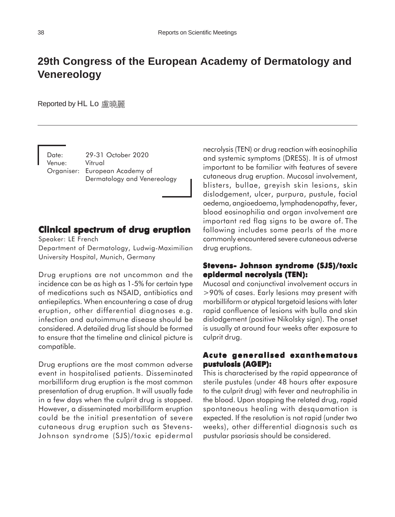# **29th Congress of the European Academy of Dermatology and Venereology**

Reported by HL Lo 盧曉麗

Date: 29-31 October 2020 Venue: Vitrual Organiser: European Academy of Dermatology and Venereology

# **Clinical spectrum of drug eruption**

Speaker: LE French

Department of Dermatology, Ludwig-Maximilian University Hospital, Munich, Germany

Drug eruptions are not uncommon and the incidence can be as high as 1-5% for certain type of medications such as NSAID, antibiotics and antiepileptics. When encountering a case of drug eruption, other differential diagnoses e.g. infection and autoimmune disease should be considered. A detailed drug list should be formed to ensure that the timeline and clinical picture is compatible.

Drug eruptions are the most common adverse event in hospitalised patients. Disseminated morbilliform drug eruption is the most common presentation of drug eruption. It will usually fade in a few days when the culprit drug is stopped. However, a disseminated morbilliform eruption could be the initial presentation of severe cutaneous drug eruption such as Stevens-Johnson syndrome (SJS)/toxic epidermal necrolysis (TEN) or drug reaction with eosinophilia and systemic symptoms (DRESS). It is of utmost important to be familiar with features of severe cutaneous drug eruption. Mucosal involvement, blisters, bullae, greyish skin lesions, skin dislodgement, ulcer, purpura, pustule, facial oedema, angioedoema, lymphadenopathy, fever, blood eosinophilia and organ involvement are important red flag signs to be aware of. The following includes some pearls of the more commonly encountered severe cutaneous adverse drug eruptions.

## **Stevens- Johnson syndrome (SJS)/toxic epidermal necrolysis (TEN): (TEN):**

Mucosal and conjunctival involvement occurs in >90% of cases. Early lesions may present with morbilliform or atypical targetoid lesions with later rapid confluence of lesions with bulla and skin dislodgement (positive Nikolsky sign). The onset is usually at around four weeks after exposure to culprit drug.

## **Acute generalised exanthematous pustulosis (AGEP): (AGEP):**

This is characterised by the rapid appearance of sterile pustules (under 48 hours after exposure to the culprit drug) with fever and neutrophilia in the blood. Upon stopping the related drug, rapid spontaneous healing with desquamation is expected. If the resolution is not rapid (under two weeks), other differential diagnosis such as pustular psoriasis should be considered.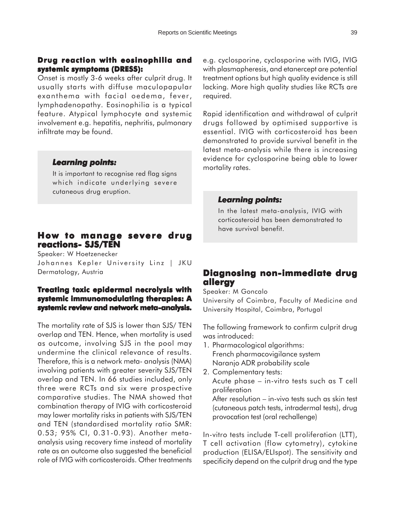# **Drug reaction with eosinophilia and systemic symptoms (DRESS):**

Onset is mostly 3-6 weeks after culprit drug. It usually starts with diffuse maculopapular exanthema with facial oedema, fever, lymphadenopathy. Eosinophilia is a typical feature. Atypical lymphocyte and systemic involvement e.g. hepatitis, nephritis, pulmonary infiltrate may be found.

#### *Learning points: Learning points:*

It is important to recognise red flag signs which indicate underlying severe cutaneous drug eruption.

# **How to manage severe drug reactions- SJS/TEN**

Speaker: W Hoetzenecker Johannes Kepler University Linz | JKU Dermatology, Austria

## **Treating toxic epidermal necrolysis with systemic immunomodulating therapies: A** systemic review and network meta-analysis.

The mortality rate of SJS is lower than SJS/ TEN overlap and TEN. Hence, when mortality is used as outcome, involving SJS in the pool may undermine the clinical relevance of results. Therefore, this is a network meta- analysis (NMA) involving patients with greater severity SJS/TEN overlap and TEN. In 66 studies included, only three were RCTs and six were prospective comparative studies. The NMA showed that combination therapy of IVIG with corticosteroid may lower mortality risks in patients with SJS/TEN and TEN (standardised mortality ratio SMR: 0.53; 95% CI, 0.31-0.93). Another metaanalysis using recovery time instead of mortality rate as an outcome also suggested the beneficial role of IVIG with corticosteroids. Other treatments

e.g. cyclosporine, cyclosporine with IVIG, IVIG with plasmapheresis, and etanercept are potential treatment options but high quality evidence is still lacking. More high quality studies like RCTs are required.

Rapid identification and withdrawal of culprit drugs followed by optimised supportive is essential. IVIG with corticosteroid has been demonstrated to provide survival benefit in the latest meta-analysis while there is increasing evidence for cyclosporine being able to lower mortality rates.

#### *Learning points: points:*

In the latest meta-analysis, IVIG with corticosteroid has been demonstrated to have survival benefit.

# **Diagnosing non-immediate drug allergy**

Speaker: M Goncalo

University of Coimbra, Faculty of Medicine and University Hospital, Coimbra, Portugal

The following framework to confirm culprit drug was introduced:

- 1. Pharmacological algorithms: French pharmacovigilance system Naranjo ADR probability scale
- 2. Complementary tests: Acute phase – in-vitro tests such as T cell proliferation After resolution – in-vivo tests such as skin test (cutaneous patch tests, intradermal tests), drug provocation test (oral rechallenge)

In-vitro tests include T-cell proliferation (LTT), T cell activation (flow cytometry), cytokine production (ELISA/ELIspot). The sensitivity and specificity depend on the culprit drug and the type